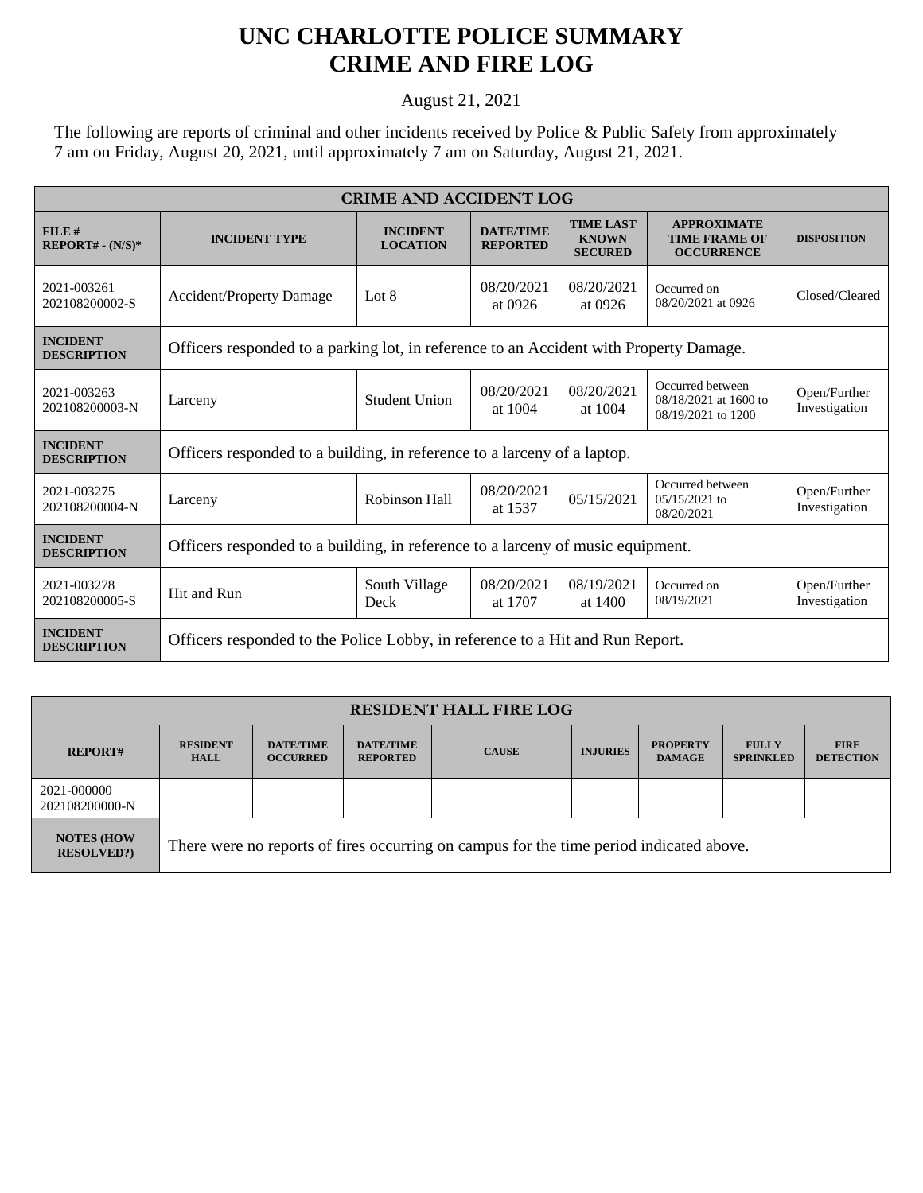## **UNC CHARLOTTE POLICE SUMMARY CRIME AND FIRE LOG**

August 21, 2021

The following are reports of criminal and other incidents received by Police & Public Safety from approximately 7 am on Friday, August 20, 2021, until approximately 7 am on Saturday, August 21, 2021.

| <b>CRIME AND ACCIDENT LOG</b>         |                                                                                        |                                    |                                     |                                                    |                                                                 |                               |  |  |
|---------------------------------------|----------------------------------------------------------------------------------------|------------------------------------|-------------------------------------|----------------------------------------------------|-----------------------------------------------------------------|-------------------------------|--|--|
| FILE#<br>$REPORT# - (N/S)*$           | <b>INCIDENT TYPE</b>                                                                   | <b>INCIDENT</b><br><b>LOCATION</b> | <b>DATE/TIME</b><br><b>REPORTED</b> | <b>TIME LAST</b><br><b>KNOWN</b><br><b>SECURED</b> | <b>APPROXIMATE</b><br><b>TIME FRAME OF</b><br><b>OCCURRENCE</b> | <b>DISPOSITION</b>            |  |  |
| 2021-003261<br>202108200002-S         | <b>Accident/Property Damage</b>                                                        | Lot $8$                            | 08/20/2021<br>at 0926               | 08/20/2021<br>at 0926                              | Occurred on<br>08/20/2021 at 0926                               | Closed/Cleared                |  |  |
| <b>INCIDENT</b><br><b>DESCRIPTION</b> | Officers responded to a parking lot, in reference to an Accident with Property Damage. |                                    |                                     |                                                    |                                                                 |                               |  |  |
| 2021-003263<br>202108200003-N         | Larceny                                                                                | <b>Student Union</b>               | 08/20/2021<br>at 1004               | 08/20/2021<br>at 1004                              | Occurred between<br>08/18/2021 at 1600 to<br>08/19/2021 to 1200 | Open/Further<br>Investigation |  |  |
| <b>INCIDENT</b><br><b>DESCRIPTION</b> | Officers responded to a building, in reference to a larceny of a laptop.               |                                    |                                     |                                                    |                                                                 |                               |  |  |
| 2021-003275<br>202108200004-N         | Larceny                                                                                | Robinson Hall                      | 08/20/2021<br>at 1537               | 05/15/2021                                         | Occurred between<br>05/15/2021 to<br>08/20/2021                 | Open/Further<br>Investigation |  |  |
| <b>INCIDENT</b><br><b>DESCRIPTION</b> | Officers responded to a building, in reference to a larceny of music equipment.        |                                    |                                     |                                                    |                                                                 |                               |  |  |
| 2021-003278<br>202108200005-S         | Hit and Run                                                                            | South Village<br>Deck              | 08/20/2021<br>at 1707               | 08/19/2021<br>at 1400                              | Occurred on<br>08/19/2021                                       | Open/Further<br>Investigation |  |  |
| <b>INCIDENT</b><br><b>DESCRIPTION</b> | Officers responded to the Police Lobby, in reference to a Hit and Run Report.          |                                    |                                     |                                                    |                                                                 |                               |  |  |

| <b>RESIDENT HALL FIRE LOG</b>         |                                                                                         |                                     |                                     |              |                 |                                  |                                  |                                 |
|---------------------------------------|-----------------------------------------------------------------------------------------|-------------------------------------|-------------------------------------|--------------|-----------------|----------------------------------|----------------------------------|---------------------------------|
| <b>REPORT#</b>                        | <b>RESIDENT</b><br><b>HALL</b>                                                          | <b>DATE/TIME</b><br><b>OCCURRED</b> | <b>DATE/TIME</b><br><b>REPORTED</b> | <b>CAUSE</b> | <b>INJURIES</b> | <b>PROPERTY</b><br><b>DAMAGE</b> | <b>FULLY</b><br><b>SPRINKLED</b> | <b>FIRE</b><br><b>DETECTION</b> |
| 2021-000000<br>202108200000-N         |                                                                                         |                                     |                                     |              |                 |                                  |                                  |                                 |
| <b>NOTES (HOW</b><br><b>RESOLVED?</b> | There were no reports of fires occurring on campus for the time period indicated above. |                                     |                                     |              |                 |                                  |                                  |                                 |